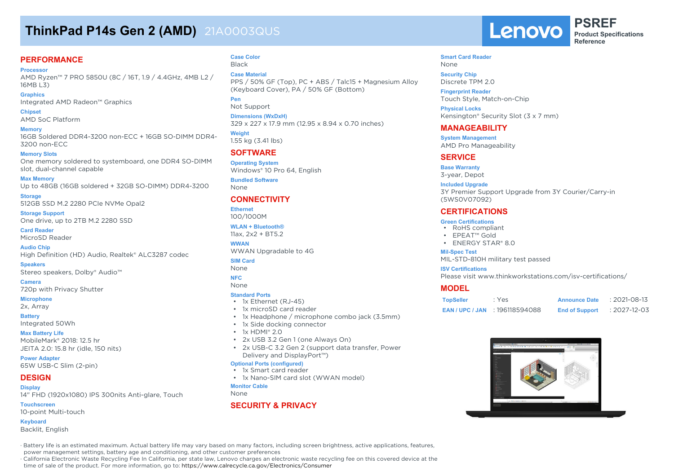## **ThinkPad P14s Gen 2 (AMD)** 21A0003QUS

### **PERFORMANCE**

**Processor**

AMD Ryzen™ 7 PRO 5850U (8C / 16T, 1.9 / 4.4GHz, 4MB L2 / 16MB L3)

**Graphics** Integrated AMD Radeon™ Graphics

**Chipset** AMD SoC Platform

**Memory** 16GB Soldered DDR4-3200 non-ECC + 16GB SO-DIMM DDR4- 3200 non-ECC

## **Memory Slots**

One memory soldered to systemboard, one DDR4 SO-DIMM slot, dual-channel capable

**Max Memory** Up to 48GB (16GB soldered + 32GB SO-DIMM) DDR4-3200

**Storage** 512GB SSD M.2 2280 PCIe NVMe Opal2

**Storage Support** One drive, up to 2TB M.2 2280 SSD

**Card Reader** MicroSD Reader

**Audio Chip** High Definition (HD) Audio, Realtek® ALC3287 codec

**Speakers** Stereo speakers, Dolby® Audio™

**Camera** 720p with Privacy Shutter

#### **Microphone**

2x, Array

**Battery** Integrated 50Wh

**Max Battery Life** MobileMark® 2018: 12.5 hr JEITA 2.0: 15.8 hr (idle, 150 nits)

**Power Adapter** 65W USB-C Slim (2-pin)

#### **DESIGN Display**

14" FHD (1920x1080) IPS 300nits Anti-glare, Touch

**Touchscreen** 10-point Multi-touch

**Keyboard** Backlit, English

#### **Case Color** Black

**Case Material** PPS / 50% GF (Top), PC + ABS / Talc15 + Magnesium Alloy (Keyboard Cover), PA / 50% GF (Bottom)

**Pen**

Not Support **Dimensions (WxDxH)**

329 x 227 x 17.9 mm (12.95 x 8.94 x 0.70 inches)

**Weight** 1.55 kg (3.41 lbs)

### **SOFTWARE**

**Operating System** Windows® 10 Pro 64, English

**Bundled Software** None

### **CONNECTIVITY**

**Ethernet** 100/1000M

**WLAN + Bluetooth®** 11ax, 2x2 + BT5.2

**WWAN** WWAN Upgradable to 4G

#### **SIM Card**

None

#### **NFC** None

### **Standard Ports**

- 1x Ethernet (RJ-45)
- 1x microSD card reader
- 1x Headphone / microphone combo jack (3.5mm)
- 1x Side docking connector
- $\cdot$  1x HDMI® 2.0
- 2x USB 3.2 Gen 1 (one Always On)
- 2x USB-C 3.2 Gen 2 (support data transfer, Power Delivery and DisplayPort™)

#### **Optional Ports (configured)**

- 1x Smart card reader
- 1x Nano-SIM card slot (WWAN model)

**Monitor Cable**

#### None

### **SECURITY & PRIVACY**

Lenovo

**PSREF Product Specifications Reference**

#### **Smart Card Reader** None

**Security Chip** Discrete TPM 2.0

**Fingerprint Reader** Touch Style, Match-on-Chip

**Physical Locks** Kensington® Security Slot (3 x 7 mm)

#### **MANAGEABILITY**

**System Management** AMD Pro Manageability

#### **SERVICE**

**Base Warranty** 3-year, Depot

#### **Included Upgrade**

3Y Premier Support Upgrade from 3Y Courier/Carry-in (5WS0V07092)

#### **CERTIFICATIONS**

#### **Green Certifications**

- RoHS compliant
- EPEAT™ Gold
- ENERGY STAR® 8.0

#### **Mil-Spec Test**

MIL-STD-810H military test passed

#### **ISV Certifications**

Please visit www.thinkworkstations.com/isv-certifications/

#### **MODEL**

| <b>TopSeller</b> | : Yes          | <b>Announce Date</b>  | $: 2021 - 08 - 13$ |
|------------------|----------------|-----------------------|--------------------|
| EAN / UPC / JAN  | : 196118594088 | <b>End of Support</b> | : 2027-12-03       |



· Battery life is an estimated maximum. Actual battery life may vary based on many factors, including screen brightness, active applications, features, power management settings, battery age and conditioning, and other customer preferences

· California Electronic Waste Recycling Fee In California, per state law, Lenovo charges an electronic waste recycling fee on this covered device at the time of sale of the product. For more information, go to: https://www.calrecycle.ca.gov/Electronics/Consumer